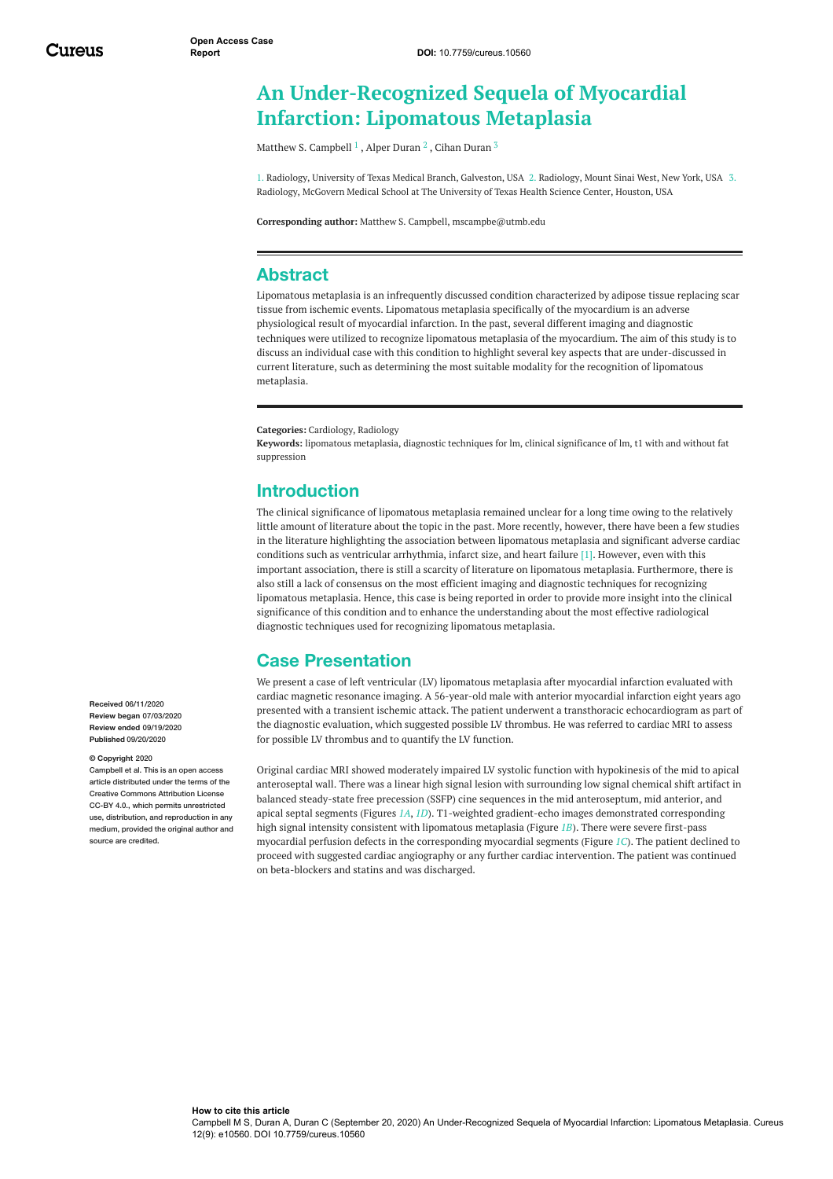# **An Under-Recognized Sequela of Myocardial Infarction: Lipomatous Metaplasia**

Matthew S. [Campbell](https://www.cureus.com/users/169804-matthew-s-campbell)  $^1$  , Alper [Duran](https://www.cureus.com/users/170127-cihan-duran)  $^2$  , Cihan Duran  $^3$ 

1. Radiology, University of Texas Medical Branch, Galveston, USA 2. Radiology, Mount Sinai West, New York, USA 3. Radiology, McGovern Medical School at The University of Texas Health Science Center, Houston, USA

**Corresponding author:** Matthew S. Campbell, mscampbe@utmb.edu

#### **Abstract**

Lipomatous metaplasia is an infrequently discussed condition characterized by adipose tissue replacing scar tissue from ischemic events. Lipomatous metaplasia specifically of the myocardium is an adverse physiological result of myocardial infarction. In the past, several different imaging and diagnostic techniques were utilized to recognize lipomatous metaplasia of the myocardium. The aim of this study is to discuss an individual case with this condition to highlight several key aspects that are under-discussed in current literature, such as determining the most suitable modality for the recognition of lipomatous metaplasia.

**Categories:** Cardiology, Radiology

**Keywords:** lipomatous metaplasia, diagnostic techniques for lm, clinical significance of lm, t1 with and without fat suppression

### **Introduction**

The clinical significance of lipomatous metaplasia remained unclear for a long time owing to the relatively little amount of literature about the topic in the past. More recently, however, there have been a few studies in the literature highlighting the association between lipomatous metaplasia and significant adverse cardiac conditions such as ventricular arrhythmia, infarct size, and heart failure [1]. However, even with this important association, there is still a scarcity of literature on lipomatous metaplasia. Furthermore, there is also still a lack of consensus on the most efficient imaging and diagnostic techniques for recognizing lipomatous metaplasia. Hence, this case is being reported in order to provide more insight into the clinical significance of this condition and to enhance the understanding about the most effective radiological diagnostic techniques used for recognizing lipomatous metaplasia.

### **Case Presentation**

We present a case of left ventricular (LV) lipomatous metaplasia after myocardial infarction evaluated with cardiac magnetic resonance imaging. A 56-year-old male with anterior myocardial infarction eight years ago presented with a transient ischemic attack. The patient underwent a transthoracic echocardiogram as part of the diagnostic evaluation, which suggested possible LV thrombus. He was referred to cardiac MRI to assess for possible LV thrombus and to quantify the LV function.

Original cardiac MRI showed moderately impaired LV systolic function with hypokinesis of the mid to apical anteroseptal wall. There was a linear high signal lesion with surrounding low signal chemical shift artifact in balanced steady-state free precession (SSFP) cine sequences in the mid anteroseptum, mid anterior, and apical septal segments (Figures *[1A](#page-1-0)*, *[1D](#page-1-0)*). T1-weighted gradient-echo images demonstrated corresponding high signal intensity consistent with lipomatous metaplasia (Figure *[1B](#page-1-0)*). There were severe first-pass myocardial perfusion defects in the corresponding myocardial segments (Figure *[1C](#page-1-0)*). The patient declined to proceed with suggested cardiac angiography or any further cardiac intervention. The patient was continued on beta-blockers and statins and was discharged.

**Received** 06/11/2020 **Review began** 07/03/2020 **Review ended** 09/19/2020 **Published** 09/20/2020

#### **© Copyright** 2020

Campbell et al. This is an open access article distributed under the terms of the Creative Commons Attribution License CC-BY 4.0., which permits unrestricted use, distribution, and reproduction in any medium, provided the original author and source are credited.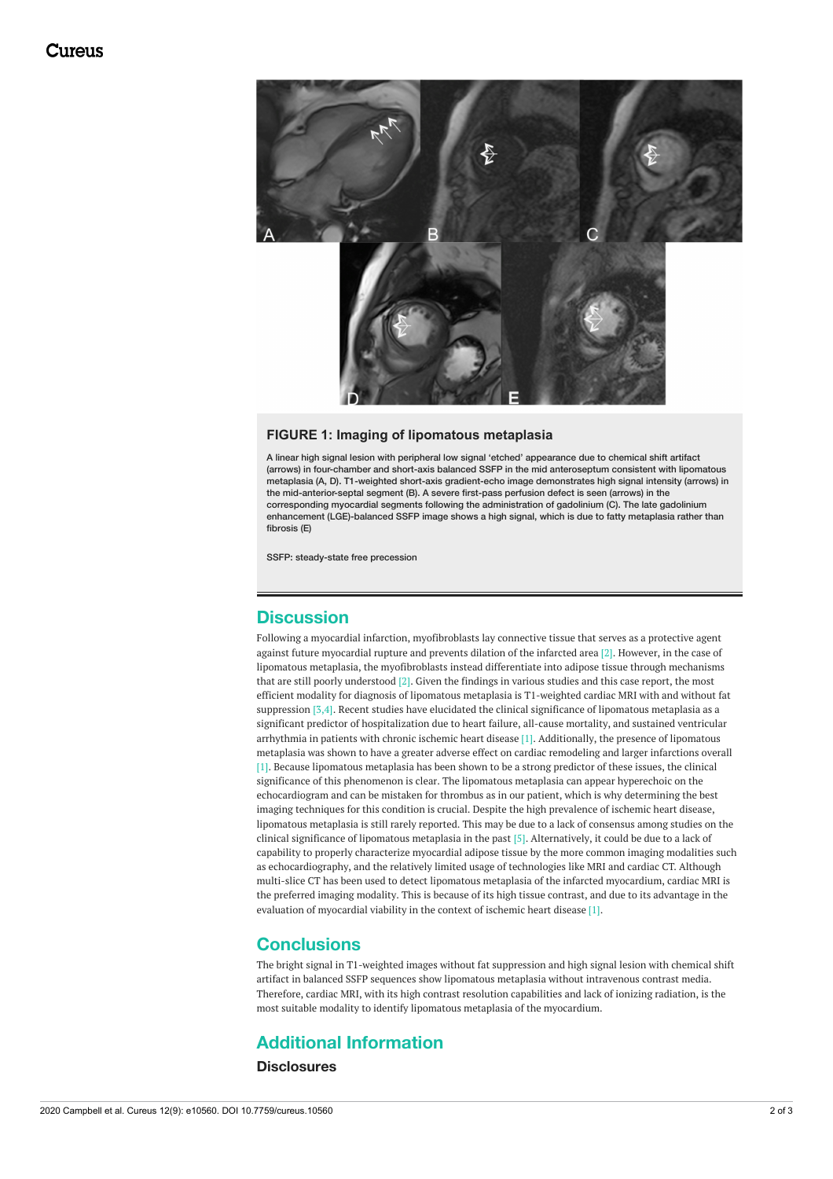<span id="page-1-0"></span>

#### **FIGURE 1: Imaging of lipomatous metaplasia**

A linear high signal lesion with peripheral low signal 'etched' appearance due to chemical shift artifact (arrows) in four-chamber and short-axis balanced SSFP in the mid anteroseptum consistent with lipomatous metaplasia (A, D). T1-weighted short-axis gradient-echo image demonstrates high signal intensity (arrows) in the mid-anterior-septal segment (B). A severe first-pass perfusion defect is seen (arrows) in the corresponding myocardial segments following the administration of gadolinium (C). The late gadolinium enhancement (LGE)-balanced SSFP image shows a high signal, which is due to fatty metaplasia rather than fibrosis (E)

SSFP: steady-state free precession

### **Discussion**

Following a myocardial infarction, myofibroblasts lay connective tissue that serves as a protective agent against future myocardial rupture and prevents dilation of the infarcted area [2]. However, in the case of lipomatous metaplasia, the myofibroblasts instead differentiate into adipose tissue through mechanisms that are still poorly understood [2]. Given the findings in various studies and this case report, the most efficient modality for diagnosis of lipomatous metaplasia is T1-weighted cardiac MRI with and without fat suppression [3,4]. Recent studies have elucidated the clinical significance of lipomatous metaplasia as a significant predictor of hospitalization due to heart failure, all-cause mortality, and sustained ventricular arrhythmia in patients with chronic ischemic heart disease [1]. Additionally, the presence of lipomatous metaplasia was shown to have a greater adverse effect on cardiac remodeling and larger infarctions overall [1]. Because lipomatous metaplasia has been shown to be a strong predictor of these issues, the clinical significance of this phenomenon is clear. The lipomatous metaplasia can appear hyperechoic on the echocardiogram and can be mistaken for thrombus as in our patient, which is why determining the best imaging techniques for this condition is crucial. Despite the high prevalence of ischemic heart disease, lipomatous metaplasia is still rarely reported. This may be due to a lack of consensus among studies on the clinical significance of lipomatous metaplasia in the past [5]. Alternatively, it could be due to a lack of capability to properly characterize myocardial adipose tissue by the more common imaging modalities such as echocardiography, and the relatively limited usage of technologies like MRI and cardiac CT. Although multi-slice CT has been used to detect lipomatous metaplasia of the infarcted myocardium, cardiac MRI is the preferred imaging modality. This is because of its high tissue contrast, and due to its advantage in the evaluation of myocardial viability in the context of ischemic heart disease [1].

### **Conclusions**

The bright signal in T1-weighted images without fat suppression and high signal lesion with chemical shift artifact in balanced SSFP sequences show lipomatous metaplasia without intravenous contrast media. Therefore, cardiac MRI, with its high contrast resolution capabilities and lack of ionizing radiation, is the most suitable modality to identify lipomatous metaplasia of the myocardium.

### **Additional Information**

**Disclosures**